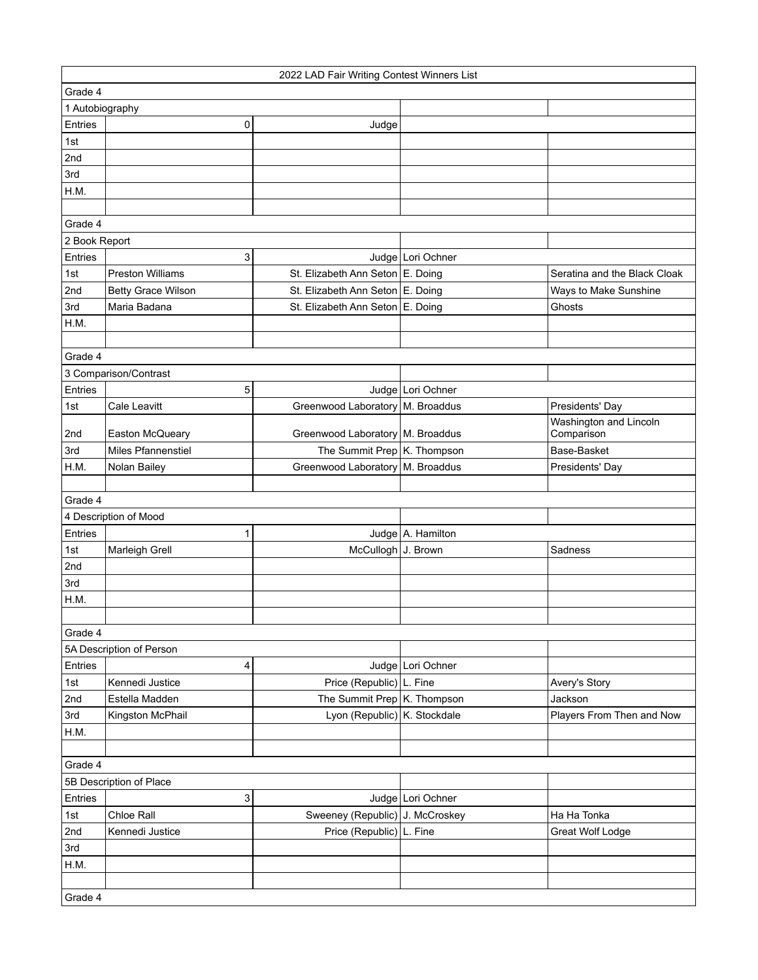| 2022 LAD Fair Writing Contest Winners List |                           |                                    |                     |                                      |  |
|--------------------------------------------|---------------------------|------------------------------------|---------------------|--------------------------------------|--|
| Grade 4                                    |                           |                                    |                     |                                      |  |
| 1 Autobiography                            |                           |                                    |                     |                                      |  |
| Entries                                    | 0                         | Judge                              |                     |                                      |  |
| 1st                                        |                           |                                    |                     |                                      |  |
| 2nd                                        |                           |                                    |                     |                                      |  |
| 3rd                                        |                           |                                    |                     |                                      |  |
| H.M.                                       |                           |                                    |                     |                                      |  |
|                                            |                           |                                    |                     |                                      |  |
| Grade 4                                    |                           |                                    |                     |                                      |  |
| 2 Book Report                              |                           |                                    |                     |                                      |  |
| Entries                                    | 3                         |                                    | Judge Lori Ochner   |                                      |  |
| 1st                                        | <b>Preston Williams</b>   | St. Elizabeth Ann Seton E. Doing   |                     | Seratina and the Black Cloak         |  |
| 2nd                                        | <b>Betty Grace Wilson</b> | St. Elizabeth Ann Seton E. Doing   |                     | Ways to Make Sunshine                |  |
| 3rd                                        | Maria Badana              | St. Elizabeth Ann Seton   E. Doing |                     | Ghosts                               |  |
| H.M.                                       |                           |                                    |                     |                                      |  |
|                                            |                           |                                    |                     |                                      |  |
| Grade 4                                    |                           |                                    |                     |                                      |  |
|                                            | 3 Comparison/Contrast     |                                    |                     |                                      |  |
| Entries                                    | 5                         |                                    | Judge Lori Ochner   |                                      |  |
| 1st                                        | <b>Cale Leavitt</b>       | Greenwood Laboratory   M. Broaddus |                     | Presidents' Day                      |  |
| 2nd                                        | Easton McQueary           | Greenwood Laboratory   M. Broaddus |                     | Washington and Lincoln<br>Comparison |  |
| 3rd                                        | Miles Pfannenstiel        | The Summit Prep K. Thompson        |                     | Base-Basket                          |  |
| H.M.                                       | Nolan Bailey              | Greenwood Laboratory   M. Broaddus |                     | Presidents' Day                      |  |
|                                            |                           |                                    |                     |                                      |  |
| Grade 4                                    |                           |                                    |                     |                                      |  |
|                                            | 4 Description of Mood     |                                    |                     |                                      |  |
| Entries                                    | $\mathbf{1}$              |                                    | Judge   A. Hamilton |                                      |  |
| 1st                                        | Marleigh Grell            | McCullogh J. Brown                 |                     | Sadness                              |  |
| 2nd                                        |                           |                                    |                     |                                      |  |
| 3rd                                        |                           |                                    |                     |                                      |  |
| H.M.                                       |                           |                                    |                     |                                      |  |
|                                            |                           |                                    |                     |                                      |  |
| Grade 4                                    |                           |                                    |                     |                                      |  |
|                                            | 5A Description of Person  |                                    |                     |                                      |  |
| Entries                                    | 4                         |                                    | Judge Lori Ochner   |                                      |  |
| 1st                                        | Kennedi Justice           | Price (Republic) L. Fine           |                     | Avery's Story                        |  |
| 2nd                                        | Estella Madden            | The Summit Prep K. Thompson        |                     | Jackson                              |  |
| 3rd                                        | Kingston McPhail          | Lyon (Republic) K. Stockdale       |                     | Players From Then and Now            |  |
| H.M.                                       |                           |                                    |                     |                                      |  |
|                                            |                           |                                    |                     |                                      |  |
| Grade 4                                    |                           |                                    |                     |                                      |  |
|                                            | 5B Description of Place   |                                    |                     |                                      |  |
| Entries                                    | 3                         |                                    | Judge Lori Ochner   |                                      |  |
| 1st                                        | Chloe Rall                | Sweeney (Republic) J. McCroskey    |                     | Ha Ha Tonka                          |  |
| 2nd                                        | Kennedi Justice           | Price (Republic) L. Fine           |                     | Great Wolf Lodge                     |  |
| 3rd                                        |                           |                                    |                     |                                      |  |
| H.M.                                       |                           |                                    |                     |                                      |  |
|                                            |                           |                                    |                     |                                      |  |
| Grade 4                                    |                           |                                    |                     |                                      |  |
|                                            |                           |                                    |                     |                                      |  |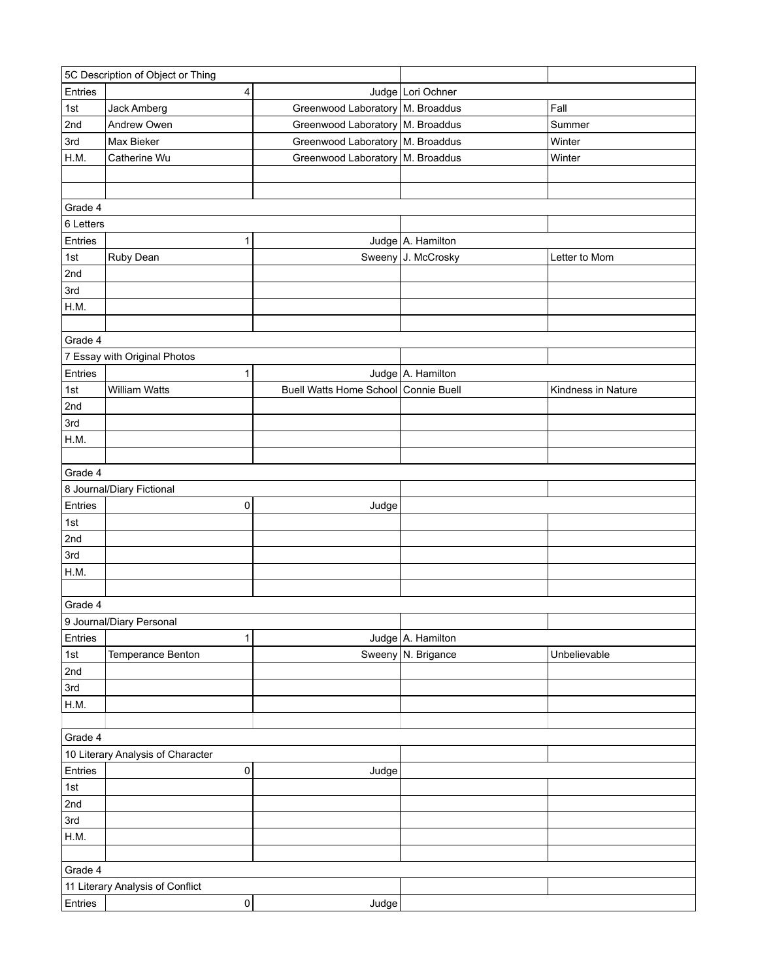| 5C Description of Object or Thing |                                   |                     |                                      |                     |                    |
|-----------------------------------|-----------------------------------|---------------------|--------------------------------------|---------------------|--------------------|
| Entries                           |                                   | 4                   |                                      | Judge Lori Ochner   |                    |
| 1st                               | Jack Amberg                       |                     | Greenwood Laboratory   M. Broaddus   |                     | Fall               |
| 2nd                               | Andrew Owen                       |                     | Greenwood Laboratory   M. Broaddus   |                     | Summer             |
| 3rd                               | Max Bieker                        |                     | Greenwood Laboratory M. Broaddus     |                     | Winter             |
| H.M.                              | Catherine Wu                      |                     | Greenwood Laboratory   M. Broaddus   |                     | Winter             |
|                                   |                                   |                     |                                      |                     |                    |
|                                   |                                   |                     |                                      |                     |                    |
| Grade 4                           |                                   |                     |                                      |                     |                    |
| 6 Letters                         |                                   |                     |                                      |                     |                    |
| Entries                           |                                   | 1                   |                                      | Judge A. Hamilton   |                    |
| 1st                               | Ruby Dean                         |                     |                                      | Sweeny J. McCrosky  | Letter to Mom      |
| 2nd                               |                                   |                     |                                      |                     |                    |
| 3rd                               |                                   |                     |                                      |                     |                    |
| H.M.                              |                                   |                     |                                      |                     |                    |
|                                   |                                   |                     |                                      |                     |                    |
| Grade 4                           |                                   |                     |                                      |                     |                    |
|                                   | 7 Essay with Original Photos      |                     |                                      |                     |                    |
| Entries                           |                                   | 1                   |                                      | Judge A. Hamilton   |                    |
| 1st                               | William Watts                     |                     | Buell Watts Home School Connie Buell |                     | Kindness in Nature |
| 2nd                               |                                   |                     |                                      |                     |                    |
|                                   |                                   |                     |                                      |                     |                    |
| 3rd                               |                                   |                     |                                      |                     |                    |
| H.M.                              |                                   |                     |                                      |                     |                    |
|                                   |                                   |                     |                                      |                     |                    |
| Grade 4                           |                                   |                     |                                      |                     |                    |
|                                   | 8 Journal/Diary Fictional         |                     |                                      |                     |                    |
| Entries                           |                                   | 0                   | Judge                                |                     |                    |
| 1st                               |                                   |                     |                                      |                     |                    |
| 2nd                               |                                   |                     |                                      |                     |                    |
| 3rd                               |                                   |                     |                                      |                     |                    |
| H.M.                              |                                   |                     |                                      |                     |                    |
|                                   |                                   |                     |                                      |                     |                    |
| Grade 4                           |                                   |                     |                                      |                     |                    |
|                                   | 9 Journal/Diary Personal          |                     |                                      |                     |                    |
| Entries                           |                                   | 1                   |                                      | Judge   A. Hamilton |                    |
| 1st                               | Temperance Benton                 |                     |                                      | Sweeny N. Brigance  | Unbelievable       |
| 2nd                               |                                   |                     |                                      |                     |                    |
| 3rd                               |                                   |                     |                                      |                     |                    |
| H.M.                              |                                   |                     |                                      |                     |                    |
|                                   |                                   |                     |                                      |                     |                    |
| Grade 4                           |                                   |                     |                                      |                     |                    |
|                                   | 10 Literary Analysis of Character |                     |                                      |                     |                    |
| Entries                           |                                   | 0                   | Judge                                |                     |                    |
| 1st                               |                                   |                     |                                      |                     |                    |
| 2nd                               |                                   |                     |                                      |                     |                    |
| 3rd                               |                                   |                     |                                      |                     |                    |
| H.M.                              |                                   |                     |                                      |                     |                    |
|                                   |                                   |                     |                                      |                     |                    |
| Grade 4                           |                                   |                     |                                      |                     |                    |
|                                   | 11 Literary Analysis of Conflict  |                     |                                      |                     |                    |
| Entries                           |                                   | $\mathsf{O}\xspace$ | Judge                                |                     |                    |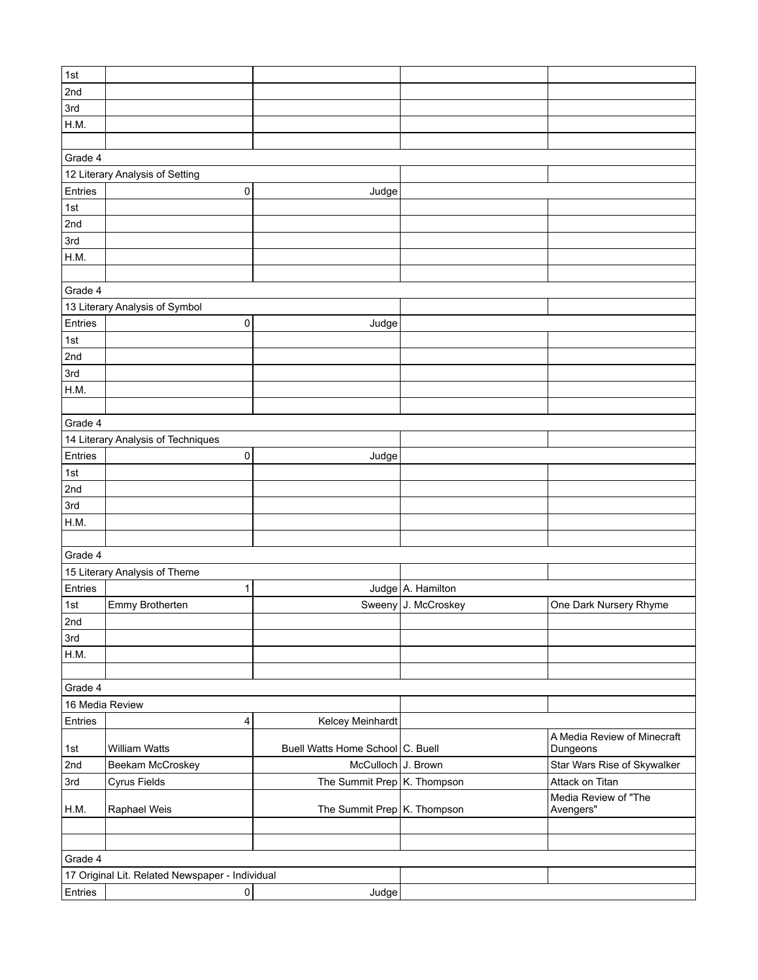| 1st             |                                                 |                                  |                     |                             |
|-----------------|-------------------------------------------------|----------------------------------|---------------------|-----------------------------|
| 2nd             |                                                 |                                  |                     |                             |
| 3rd             |                                                 |                                  |                     |                             |
|                 |                                                 |                                  |                     |                             |
| H.M.            |                                                 |                                  |                     |                             |
|                 |                                                 |                                  |                     |                             |
| Grade 4         |                                                 |                                  |                     |                             |
|                 | 12 Literary Analysis of Setting                 |                                  |                     |                             |
| Entries         | 0                                               | Judge                            |                     |                             |
| 1st             |                                                 |                                  |                     |                             |
| 2nd             |                                                 |                                  |                     |                             |
| 3rd             |                                                 |                                  |                     |                             |
| H.M.            |                                                 |                                  |                     |                             |
|                 |                                                 |                                  |                     |                             |
| Grade 4         |                                                 |                                  |                     |                             |
|                 | 13 Literary Analysis of Symbol                  |                                  |                     |                             |
|                 |                                                 |                                  |                     |                             |
| Entries         | 0                                               | Judge                            |                     |                             |
| 1st             |                                                 |                                  |                     |                             |
| 2nd             |                                                 |                                  |                     |                             |
| 3rd             |                                                 |                                  |                     |                             |
| H.M.            |                                                 |                                  |                     |                             |
|                 |                                                 |                                  |                     |                             |
| Grade 4         |                                                 |                                  |                     |                             |
|                 | 14 Literary Analysis of Techniques              |                                  |                     |                             |
| Entries         | 0                                               | Judge                            |                     |                             |
| 1st             |                                                 |                                  |                     |                             |
| 2nd             |                                                 |                                  |                     |                             |
| 3rd             |                                                 |                                  |                     |                             |
|                 |                                                 |                                  |                     |                             |
| H.M.            |                                                 |                                  |                     |                             |
|                 |                                                 |                                  |                     |                             |
| Grade 4         |                                                 |                                  |                     |                             |
|                 | 15 Literary Analysis of Theme                   |                                  |                     |                             |
| Entries         | 1                                               |                                  | Judge A. Hamilton   |                             |
| 1st             | Emmy Brotherten                                 |                                  | Sweeny J. McCroskey | One Dark Nursery Rhyme      |
| 2nd             |                                                 |                                  |                     |                             |
| 3rd             |                                                 |                                  |                     |                             |
| H.M.            |                                                 |                                  |                     |                             |
|                 |                                                 |                                  |                     |                             |
| Grade 4         |                                                 |                                  |                     |                             |
| 16 Media Review |                                                 |                                  |                     |                             |
| Entries         | 4                                               | Kelcey Meinhardt                 |                     |                             |
|                 |                                                 |                                  |                     | A Media Review of Minecraft |
| 1st             | <b>William Watts</b>                            | Buell Watts Home School C. Buell |                     | Dungeons                    |
| 2nd             | Beekam McCroskey                                | McCulloch J. Brown               |                     | Star Wars Rise of Skywalker |
| 3rd             | Cyrus Fields                                    | The Summit Prep K. Thompson      |                     | Attack on Titan             |
|                 |                                                 |                                  |                     | Media Review of "The        |
| H.M.            | Raphael Weis                                    | The Summit Prep K. Thompson      |                     | Avengers"                   |
|                 |                                                 |                                  |                     |                             |
|                 |                                                 |                                  |                     |                             |
| Grade 4         |                                                 |                                  |                     |                             |
|                 |                                                 |                                  |                     |                             |
|                 | 17 Original Lit. Related Newspaper - Individual |                                  |                     |                             |
| Entries         | 0                                               | Judge                            |                     |                             |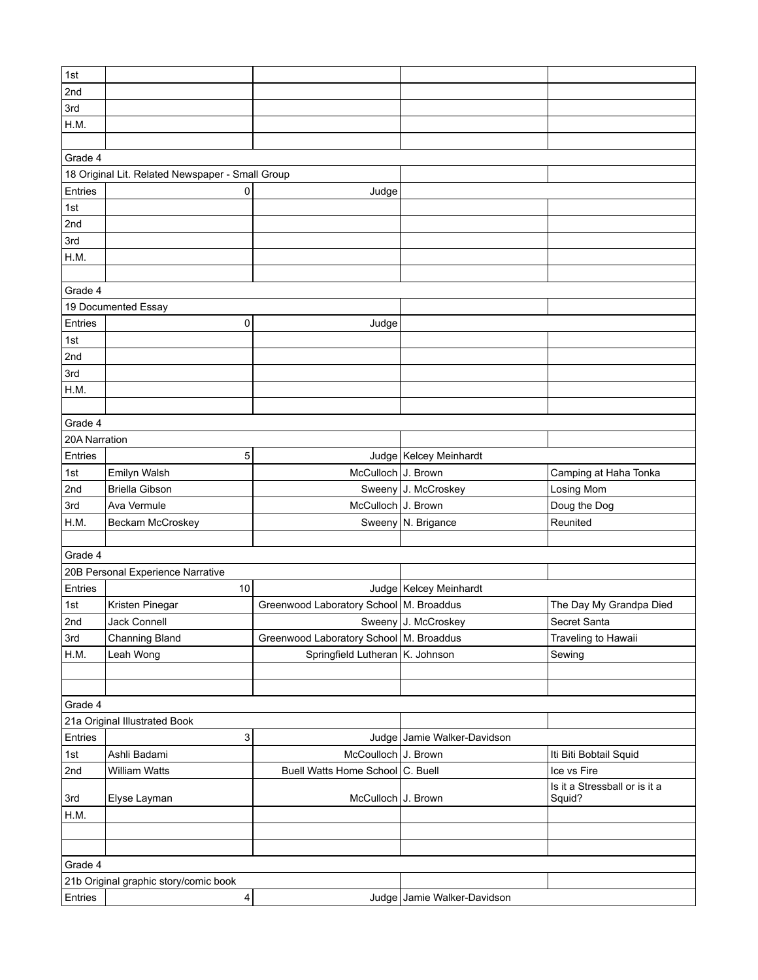| 1st             |                                                  |                                           |                             |                               |  |
|-----------------|--------------------------------------------------|-------------------------------------------|-----------------------------|-------------------------------|--|
| 2nd             |                                                  |                                           |                             |                               |  |
| 3rd             |                                                  |                                           |                             |                               |  |
| H.M.            |                                                  |                                           |                             |                               |  |
|                 |                                                  |                                           |                             |                               |  |
| Grade 4         |                                                  |                                           |                             |                               |  |
|                 | 18 Original Lit. Related Newspaper - Small Group |                                           |                             |                               |  |
| Entries         | 0                                                | Judge                                     |                             |                               |  |
| 1st             |                                                  |                                           |                             |                               |  |
| 2nd             |                                                  |                                           |                             |                               |  |
| 3rd             |                                                  |                                           |                             |                               |  |
| H.M.            |                                                  |                                           |                             |                               |  |
|                 |                                                  |                                           |                             |                               |  |
| Grade 4         |                                                  |                                           |                             |                               |  |
|                 | 19 Documented Essay                              |                                           |                             |                               |  |
| Entries         | 0                                                | Judge                                     |                             |                               |  |
| 1st             |                                                  |                                           |                             |                               |  |
| 2nd             |                                                  |                                           |                             |                               |  |
| 3rd             |                                                  |                                           |                             |                               |  |
| H.M.            |                                                  |                                           |                             |                               |  |
|                 |                                                  |                                           |                             |                               |  |
| Grade 4         |                                                  |                                           |                             |                               |  |
| 20A Narration   |                                                  |                                           |                             |                               |  |
| Entries         | 5                                                |                                           | Judge   Kelcey Meinhardt    |                               |  |
| 1st             | Emilyn Walsh                                     | McCulloch J. Brown                        |                             | Camping at Haha Tonka         |  |
| 2nd             | <b>Briella Gibson</b>                            |                                           | Sweeny J. McCroskey         | Losing Mom                    |  |
| 3rd             | Ava Vermule                                      | McCulloch J. Brown                        |                             | Doug the Dog                  |  |
| H.M.            | Beckam McCroskey                                 |                                           | Sweeny N. Brigance          | Reunited                      |  |
|                 |                                                  |                                           |                             |                               |  |
| Grade 4         |                                                  |                                           |                             |                               |  |
|                 | 20B Personal Experience Narrative                |                                           |                             |                               |  |
| Entries         | 10                                               |                                           | Judge   Kelcey Meinhardt    |                               |  |
| 1st             | Kristen Pinegar                                  | Greenwood Laboratory School   M. Broaddus |                             | The Day My Grandpa Died       |  |
| 2 <sub>nd</sub> | Jack Connell                                     |                                           | Sweeny J. McCroskey         | Secret Santa                  |  |
| 3rd             | <b>Channing Bland</b>                            | Greenwood Laboratory School   M. Broaddus |                             | Traveling to Hawaii           |  |
| H.M.            | Leah Wong                                        | Springfield Lutheran K. Johnson           |                             | Sewing                        |  |
|                 |                                                  |                                           |                             |                               |  |
|                 |                                                  |                                           |                             |                               |  |
| Grade 4         |                                                  |                                           |                             |                               |  |
|                 | 21a Original Illustrated Book                    |                                           |                             |                               |  |
| Entries         | 3                                                |                                           | Judge Jamie Walker-Davidson |                               |  |
| 1st             | Ashli Badami                                     | McCoulloch J. Brown                       |                             | Iti Biti Bobtail Squid        |  |
| 2nd             | William Watts                                    | Buell Watts Home School C. Buell          |                             | Ice vs Fire                   |  |
|                 |                                                  |                                           |                             | Is it a Stressball or is it a |  |
| 3rd             | Elyse Layman                                     | McCulloch J. Brown                        |                             | Squid?                        |  |
| H.M.            |                                                  |                                           |                             |                               |  |
|                 |                                                  |                                           |                             |                               |  |
|                 |                                                  |                                           |                             |                               |  |
| Grade 4         |                                                  |                                           |                             |                               |  |
|                 | 21b Original graphic story/comic book            |                                           |                             |                               |  |
| Entries         | $\overline{a}$                                   |                                           | Judge Jamie Walker-Davidson |                               |  |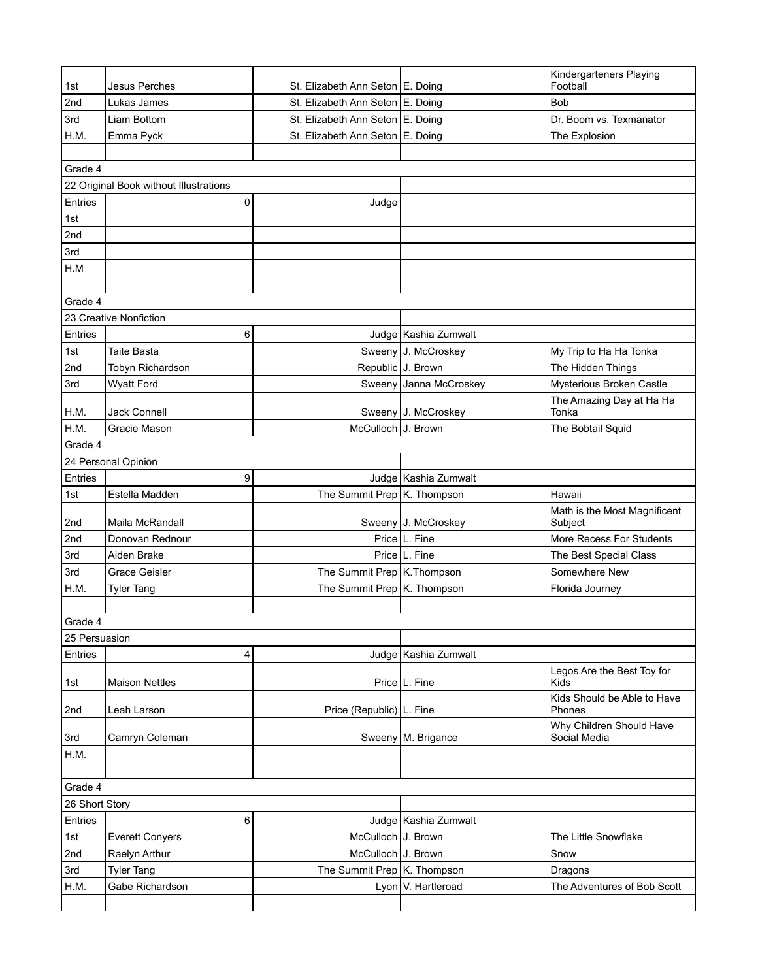|                |                                        |                                    |                        | Kindergarteners Playing<br>Football |
|----------------|----------------------------------------|------------------------------------|------------------------|-------------------------------------|
| 1st            | Jesus Perches                          | St. Elizabeth Ann Seton   E. Doing |                        |                                     |
| 2nd            | Lukas James                            | St. Elizabeth Ann Seton E. Doing   |                        | <b>Bob</b>                          |
| 3rd            | Liam Bottom                            | St. Elizabeth Ann Seton E. Doing   |                        | Dr. Boom vs. Texmanator             |
| H.M.           | Emma Pyck                              | St. Elizabeth Ann Seton E. Doing   |                        | The Explosion                       |
|                |                                        |                                    |                        |                                     |
| Grade 4        |                                        |                                    |                        |                                     |
|                | 22 Original Book without Illustrations |                                    |                        |                                     |
| Entries        | 0                                      | Judge                              |                        |                                     |
| 1st            |                                        |                                    |                        |                                     |
| 2nd            |                                        |                                    |                        |                                     |
| 3rd            |                                        |                                    |                        |                                     |
| H.M            |                                        |                                    |                        |                                     |
|                |                                        |                                    |                        |                                     |
| Grade 4        |                                        |                                    |                        |                                     |
|                | 23 Creative Nonfiction                 |                                    |                        |                                     |
| Entries        | 6                                      |                                    | Judge   Kashia Zumwalt |                                     |
| 1st            | Taite Basta                            |                                    | Sweeny J. McCroskey    | My Trip to Ha Ha Tonka              |
| 2nd            | Tobyn Richardson                       | Republic J. Brown                  |                        | The Hidden Things                   |
| 3rd            | <b>Wyatt Ford</b>                      |                                    | Sweeny Janna McCroskey | Mysterious Broken Castle            |
| H.M.           | Jack Connell                           |                                    | Sweeny J. McCroskey    | The Amazing Day at Ha Ha<br>Tonka   |
| H.M.           | Gracie Mason                           | McCulloch J. Brown                 |                        | The Bobtail Squid                   |
| Grade 4        |                                        |                                    |                        |                                     |
|                | 24 Personal Opinion                    |                                    |                        |                                     |
| Entries        | 9                                      |                                    | Judge   Kashia Zumwalt |                                     |
| 1st            | Estella Madden                         | The Summit Prep K. Thompson        |                        | Hawaii                              |
|                |                                        |                                    |                        | Math is the Most Magnificent        |
| 2nd            | Maila McRandall                        |                                    | Sweeny J. McCroskey    | Subject                             |
| 2nd            | Donovan Rednour                        |                                    | Price L. Fine          | More Recess For Students            |
| 3rd            | Aiden Brake                            |                                    | Price   L. Fine        | The Best Special Class              |
| 3rd            | <b>Grace Geisler</b>                   | The Summit Prep   K. Thompson      |                        | Somewhere New                       |
| H.M.           | <b>Tyler Tang</b>                      | The Summit Prep K. Thompson        |                        | Florida Journey                     |
|                |                                        |                                    |                        |                                     |
| Grade 4        |                                        |                                    |                        |                                     |
| 25 Persuasion  |                                        |                                    |                        |                                     |
| Entries        | 4                                      |                                    | Judge   Kashia Zumwalt |                                     |
| 1st            | <b>Maison Nettles</b>                  |                                    | Price   L. Fine        | Legos Are the Best Toy for<br>Kids  |
|                |                                        |                                    |                        | Kids Should be Able to Have         |
| 2nd            | Leah Larson                            | Price (Republic)   L. Fine         |                        | Phones<br>Why Children Should Have  |
| 3rd            | Camryn Coleman                         |                                    | Sweeny   M. Brigance   | Social Media                        |
| H.M.           |                                        |                                    |                        |                                     |
|                |                                        |                                    |                        |                                     |
| Grade 4        |                                        |                                    |                        |                                     |
| 26 Short Story |                                        |                                    |                        |                                     |
| Entries        | 6                                      |                                    | Judge   Kashia Zumwalt |                                     |
| 1st            | <b>Everett Conyers</b>                 | McCulloch J. Brown                 |                        | The Little Snowflake                |
| 2nd            | Raelyn Arthur                          | McCulloch J. Brown                 |                        | Snow                                |
| 3rd            | <b>Tyler Tang</b>                      | The Summit Prep $K$ . Thompson     |                        | Dragons                             |
| H.M.           | Gabe Richardson                        |                                    | Lyon V. Hartleroad     | The Adventures of Bob Scott         |
|                |                                        |                                    |                        |                                     |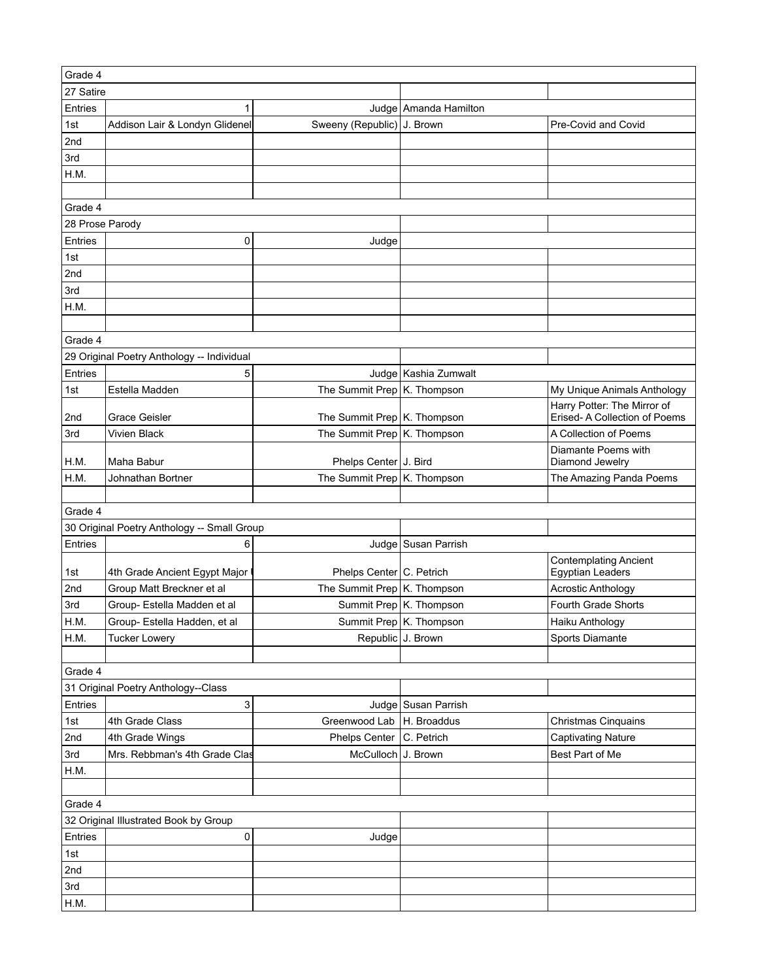| Grade 4         |                                             |                             |                         |                               |
|-----------------|---------------------------------------------|-----------------------------|-------------------------|-------------------------------|
| 27 Satire       |                                             |                             |                         |                               |
| Entries         | 1                                           |                             | Judge   Amanda Hamilton |                               |
| 1st             | Addison Lair & Londyn Glidenel              | Sweeny (Republic) J. Brown  |                         | Pre-Covid and Covid           |
| 2nd             |                                             |                             |                         |                               |
| 3rd             |                                             |                             |                         |                               |
| H.M.            |                                             |                             |                         |                               |
|                 |                                             |                             |                         |                               |
| Grade 4         |                                             |                             |                         |                               |
| 28 Prose Parody |                                             |                             |                         |                               |
| Entries         | 0                                           | Judge                       |                         |                               |
| 1st             |                                             |                             |                         |                               |
| 2nd             |                                             |                             |                         |                               |
| 3rd             |                                             |                             |                         |                               |
| H.M.            |                                             |                             |                         |                               |
|                 |                                             |                             |                         |                               |
| Grade 4         |                                             |                             |                         |                               |
|                 | 29 Original Poetry Anthology -- Individual  |                             |                         |                               |
| Entries         | 5                                           |                             | Judge   Kashia Zumwalt  |                               |
| 1st             | Estella Madden                              | The Summit Prep K. Thompson |                         | My Unique Animals Anthology   |
|                 |                                             |                             |                         | Harry Potter: The Mirror of   |
| 2nd             | Grace Geisler                               | The Summit Prep K. Thompson |                         | Erised- A Collection of Poems |
| 3rd             | <b>Vivien Black</b>                         | The Summit Prep K. Thompson |                         | A Collection of Poems         |
|                 |                                             |                             |                         | Diamante Poems with           |
| H.M.            | Maha Babur                                  | Phelps Center   J. Bird     |                         | Diamond Jewelry               |
| H.M.            | Johnathan Bortner                           | The Summit Prep K. Thompson |                         | The Amazing Panda Poems       |
|                 |                                             |                             |                         |                               |
| Grade 4         |                                             |                             |                         |                               |
|                 | 30 Original Poetry Anthology -- Small Group |                             |                         |                               |
| Entries         | 6                                           |                             | Judge   Susan Parrish   |                               |
|                 |                                             |                             |                         | <b>Contemplating Ancient</b>  |
| 1st             | 4th Grade Ancient Egypt Major               | Phelps Center   C. Petrich  |                         | <b>Egyptian Leaders</b>       |
| 2nd             | Group Matt Breckner et al                   | The Summit Prep K. Thompson |                         | <b>Acrostic Anthology</b>     |
| 3rd             | Group- Estella Madden et al                 |                             | Summit Prep K. Thompson | Fourth Grade Shorts           |
| H.M.            | Group- Estella Hadden, et al                |                             | Summit Prep K. Thompson | Haiku Anthology               |
| H.M.            | <b>Tucker Lowery</b>                        |                             | Republic J. Brown       | Sports Diamante               |
|                 |                                             |                             |                         |                               |
| Grade 4         |                                             |                             |                         |                               |
|                 | 31 Original Poetry Anthology--Class         |                             |                         |                               |
| Entries         | 3                                           |                             | Judge Susan Parrish     |                               |
| 1st             | 4th Grade Class                             | Greenwood Lab               | H. Broaddus             | Christmas Cinquains           |
| 2nd             | 4th Grade Wings                             | Phelps Center               | C. Petrich              | <b>Captivating Nature</b>     |
| 3rd             | Mrs. Rebbman's 4th Grade Clas               | McCulloch J. Brown          |                         | Best Part of Me               |
| H.M.            |                                             |                             |                         |                               |
|                 |                                             |                             |                         |                               |
| Grade 4         |                                             |                             |                         |                               |
|                 | 32 Original Illustrated Book by Group       |                             |                         |                               |
| Entries         | 0                                           | Judge                       |                         |                               |
| 1st             |                                             |                             |                         |                               |
| 2nd             |                                             |                             |                         |                               |
| 3rd             |                                             |                             |                         |                               |
| H.M.            |                                             |                             |                         |                               |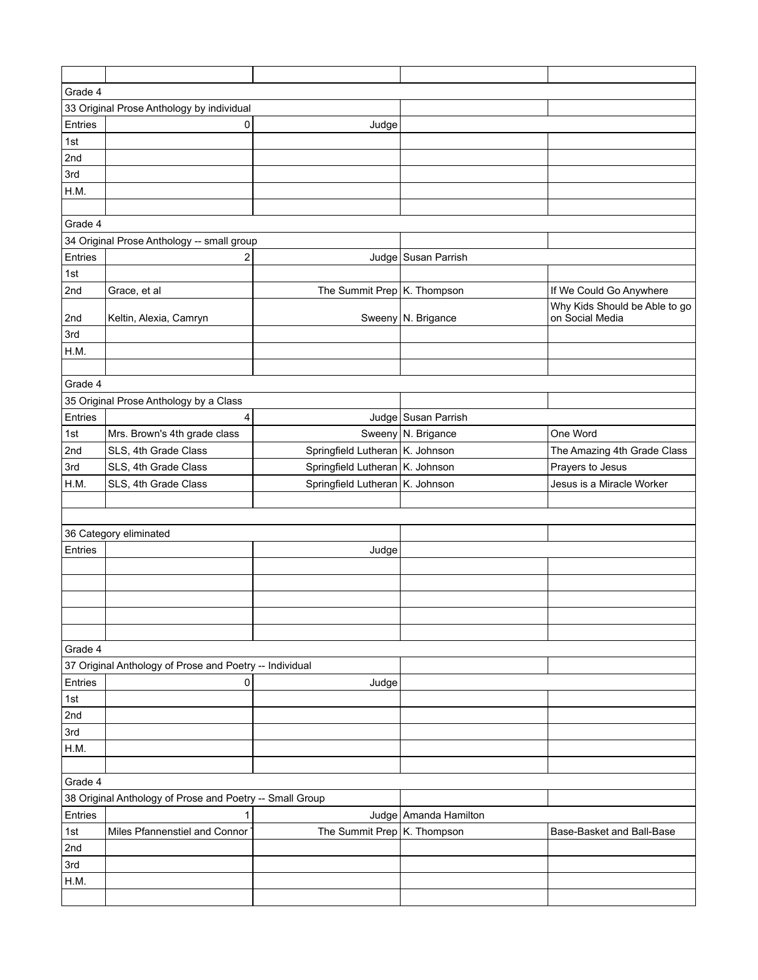| Grade 4    |                                                          |                                   |                         |                               |  |
|------------|----------------------------------------------------------|-----------------------------------|-------------------------|-------------------------------|--|
|            | 33 Original Prose Anthology by individual                |                                   |                         |                               |  |
| Entries    | 0                                                        | Judge                             |                         |                               |  |
| 1st        |                                                          |                                   |                         |                               |  |
| 2nd        |                                                          |                                   |                         |                               |  |
| 3rd        |                                                          |                                   |                         |                               |  |
| H.M.       |                                                          |                                   |                         |                               |  |
|            |                                                          |                                   |                         |                               |  |
| Grade 4    |                                                          |                                   |                         |                               |  |
|            | 34 Original Prose Anthology -- small group               |                                   |                         |                               |  |
| Entries    | 2                                                        |                                   | Judge Susan Parrish     |                               |  |
| 1st        |                                                          |                                   |                         |                               |  |
| 2nd        | Grace, et al                                             | The Summit Prep K. Thompson       |                         | If We Could Go Anywhere       |  |
|            |                                                          |                                   |                         | Why Kids Should be Able to go |  |
| 2nd        | Keltin, Alexia, Camryn                                   |                                   | Sweeny N. Brigance      | on Social Media               |  |
| 3rd        |                                                          |                                   |                         |                               |  |
| H.M.       |                                                          |                                   |                         |                               |  |
|            |                                                          |                                   |                         |                               |  |
| Grade 4    |                                                          |                                   |                         |                               |  |
|            | 35 Original Prose Anthology by a Class                   |                                   |                         |                               |  |
| Entries    | 4                                                        |                                   | Judge Susan Parrish     |                               |  |
| 1st        | Mrs. Brown's 4th grade class                             |                                   | Sweeny N. Brigance      | One Word                      |  |
| 2nd        | SLS, 4th Grade Class                                     | Springfield Lutheran   K. Johnson |                         | The Amazing 4th Grade Class   |  |
| 3rd        | SLS, 4th Grade Class                                     | Springfield Lutheran K. Johnson   |                         | Prayers to Jesus              |  |
| H.M.       | SLS, 4th Grade Class                                     | Springfield Lutheran K. Johnson   |                         | Jesus is a Miracle Worker     |  |
|            |                                                          |                                   |                         |                               |  |
|            |                                                          |                                   |                         |                               |  |
|            | 36 Category eliminated                                   |                                   |                         |                               |  |
| Entries    |                                                          | Judge                             |                         |                               |  |
|            |                                                          |                                   |                         |                               |  |
|            |                                                          |                                   |                         |                               |  |
|            |                                                          |                                   |                         |                               |  |
|            |                                                          |                                   |                         |                               |  |
|            |                                                          |                                   |                         |                               |  |
| Grade 4    |                                                          |                                   |                         |                               |  |
|            | 37 Original Anthology of Prose and Poetry -- Individual  |                                   |                         |                               |  |
| Entries    | 0                                                        | Judge                             |                         |                               |  |
| 1st        |                                                          |                                   |                         |                               |  |
| 2nd        |                                                          |                                   |                         |                               |  |
| 3rd        |                                                          |                                   |                         |                               |  |
| H.M.       |                                                          |                                   |                         |                               |  |
|            |                                                          |                                   |                         |                               |  |
| Grade 4    |                                                          |                                   |                         |                               |  |
|            | 38 Original Anthology of Prose and Poetry -- Small Group |                                   |                         |                               |  |
| Entries    |                                                          |                                   | Judge   Amanda Hamilton |                               |  |
| 1st        | 1                                                        |                                   |                         |                               |  |
|            | Miles Pfannenstiel and Connor                            | The Summit Prep   K. Thompson     |                         | Base-Basket and Ball-Base     |  |
| 2nd<br>3rd |                                                          |                                   |                         |                               |  |
|            |                                                          |                                   |                         |                               |  |
| H.M.       |                                                          |                                   |                         |                               |  |
|            |                                                          |                                   |                         |                               |  |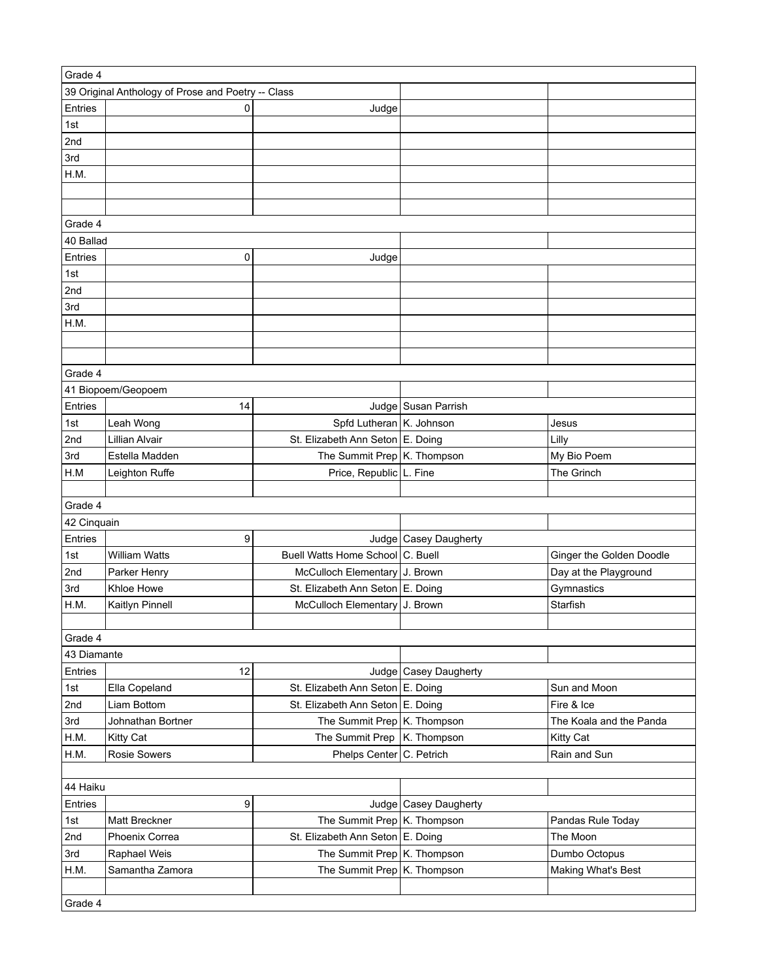| Grade 4     |                                                    |                                                                      |                         |                                                   |  |
|-------------|----------------------------------------------------|----------------------------------------------------------------------|-------------------------|---------------------------------------------------|--|
|             | 39 Original Anthology of Prose and Poetry -- Class |                                                                      |                         |                                                   |  |
| Entries     | 0                                                  | Judge                                                                |                         |                                                   |  |
| 1st         |                                                    |                                                                      |                         |                                                   |  |
| 2nd         |                                                    |                                                                      |                         |                                                   |  |
| 3rd         |                                                    |                                                                      |                         |                                                   |  |
| H.M.        |                                                    |                                                                      |                         |                                                   |  |
|             |                                                    |                                                                      |                         |                                                   |  |
|             |                                                    |                                                                      |                         |                                                   |  |
| Grade 4     |                                                    |                                                                      |                         |                                                   |  |
| 40 Ballad   |                                                    |                                                                      |                         |                                                   |  |
| Entries     | 0                                                  | Judge                                                                |                         |                                                   |  |
| 1st         |                                                    |                                                                      |                         |                                                   |  |
| 2nd         |                                                    |                                                                      |                         |                                                   |  |
| 3rd         |                                                    |                                                                      |                         |                                                   |  |
| H.M.        |                                                    |                                                                      |                         |                                                   |  |
|             |                                                    |                                                                      |                         |                                                   |  |
|             |                                                    |                                                                      |                         |                                                   |  |
| Grade 4     |                                                    |                                                                      |                         |                                                   |  |
|             | 41 Biopoem/Geopoem                                 |                                                                      |                         |                                                   |  |
| Entries     | 14                                                 |                                                                      | Judge Susan Parrish     |                                                   |  |
| 1st         | Leah Wong                                          | Spfd Lutheran   K. Johnson                                           |                         | Jesus                                             |  |
| 2nd         | Lillian Alvair                                     | St. Elizabeth Ann Seton E. Doing                                     |                         | Lilly                                             |  |
| 3rd         | Estella Madden                                     | The Summit Prep K. Thompson                                          |                         | My Bio Poem                                       |  |
|             |                                                    |                                                                      |                         | The Grinch                                        |  |
| H.M         | Leighton Ruffe                                     | Price, Republic L. Fine                                              |                         |                                                   |  |
| Grade 4     |                                                    |                                                                      |                         |                                                   |  |
| 42 Cinquain |                                                    |                                                                      |                         |                                                   |  |
| Entries     | 9                                                  |                                                                      | Judge   Casey Daugherty |                                                   |  |
|             | <b>William Watts</b>                               | Buell Watts Home School C. Buell                                     |                         |                                                   |  |
| 1st<br>2nd  |                                                    |                                                                      |                         | Ginger the Golden Doodle<br>Day at the Playground |  |
| 3rd         | Parker Henry<br>Khloe Howe                         | McCulloch Elementary J. Brown<br>St. Elizabeth Ann Seton E. Doing    |                         | Gymnastics                                        |  |
|             |                                                    |                                                                      |                         | Starfish                                          |  |
| H.M.        | Kaitlyn Pinnell                                    | McCulloch Elementary J. Brown                                        |                         |                                                   |  |
|             |                                                    |                                                                      |                         |                                                   |  |
| Grade 4     |                                                    |                                                                      |                         |                                                   |  |
| 43 Diamante |                                                    |                                                                      |                         |                                                   |  |
| Entries     | 12                                                 |                                                                      | Judge   Casey Daugherty |                                                   |  |
| 1st         | Ella Copeland                                      | St. Elizabeth Ann Seton E. Doing<br>St. Elizabeth Ann Seton E. Doing |                         | Sun and Moon<br>Fire & Ice                        |  |
| 2nd         | Liam Bottom                                        |                                                                      |                         | The Koala and the Panda                           |  |
| 3rd         | Johnathan Bortner                                  | The Summit Prep K. Thompson                                          |                         |                                                   |  |
| H.M.        | <b>Kitty Cat</b>                                   | The Summit Prep   K. Thompson                                        |                         | Kitty Cat                                         |  |
| H.M.        | <b>Rosie Sowers</b>                                | Phelps Center C. Petrich                                             |                         | Rain and Sun                                      |  |
|             |                                                    |                                                                      |                         |                                                   |  |
| 44 Haiku    |                                                    |                                                                      |                         |                                                   |  |
| Entries     | 9                                                  |                                                                      | Judge   Casey Daugherty |                                                   |  |
| 1st         | Matt Breckner                                      | The Summit Prep K. Thompson                                          |                         | Pandas Rule Today                                 |  |
| 2nd         | Phoenix Correa                                     | St. Elizabeth Ann Seton E. Doing                                     |                         | The Moon                                          |  |
| 3rd         | Raphael Weis                                       | The Summit Prep K. Thompson                                          |                         | Dumbo Octopus                                     |  |
| H.M.        | Samantha Zamora                                    | The Summit Prep K. Thompson                                          |                         | Making What's Best                                |  |
|             |                                                    |                                                                      |                         |                                                   |  |
| Grade 4     |                                                    |                                                                      |                         |                                                   |  |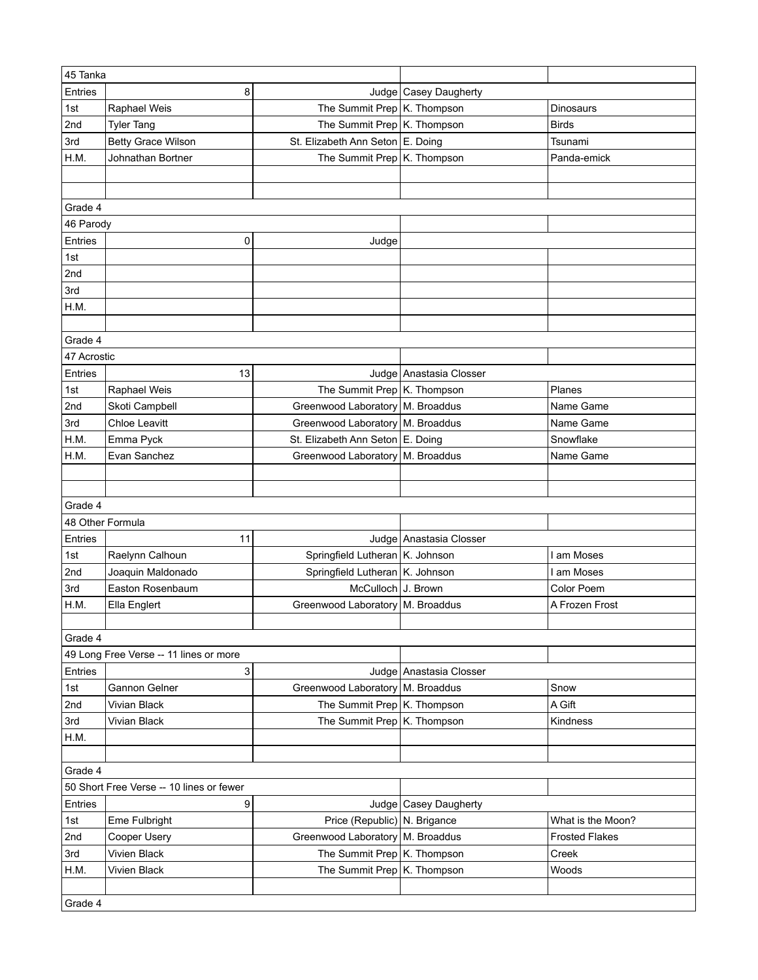| 45 Tanka    |                                          |                                    |                           |                       |
|-------------|------------------------------------------|------------------------------------|---------------------------|-----------------------|
| Entries     | 8                                        |                                    | Judge   Casey Daugherty   |                       |
| 1st         | Raphael Weis                             | The Summit Prep K. Thompson        |                           | <b>Dinosaurs</b>      |
| 2nd         | <b>Tyler Tang</b>                        | The Summit Prep K. Thompson        |                           | <b>Birds</b>          |
| 3rd         | <b>Betty Grace Wilson</b>                | St. Elizabeth Ann Seton E. Doing   |                           | Tsunami               |
| H.M.        | Johnathan Bortner                        | The Summit Prep K. Thompson        |                           | Panda-emick           |
|             |                                          |                                    |                           |                       |
|             |                                          |                                    |                           |                       |
| Grade 4     |                                          |                                    |                           |                       |
| 46 Parody   |                                          |                                    |                           |                       |
| Entries     | 0                                        | Judge                              |                           |                       |
| 1st         |                                          |                                    |                           |                       |
| 2nd         |                                          |                                    |                           |                       |
| 3rd         |                                          |                                    |                           |                       |
| H.M.        |                                          |                                    |                           |                       |
|             |                                          |                                    |                           |                       |
| Grade 4     |                                          |                                    |                           |                       |
|             |                                          |                                    |                           |                       |
| 47 Acrostic |                                          |                                    |                           |                       |
| Entries     | 13                                       |                                    | Judge Anastasia Closser   |                       |
| 1st         | Raphael Weis                             | The Summit Prep K. Thompson        |                           | Planes                |
| 2nd         | Skoti Campbell                           | Greenwood Laboratory M. Broaddus   |                           | Name Game             |
| 3rd         | <b>Chloe Leavitt</b>                     | Greenwood Laboratory   M. Broaddus |                           | Name Game             |
| H.M.        | Emma Pyck                                | St. Elizabeth Ann Seton E. Doing   |                           | Snowflake             |
| H.M.        | Evan Sanchez                             | Greenwood Laboratory   M. Broaddus |                           | Name Game             |
|             |                                          |                                    |                           |                       |
|             |                                          |                                    |                           |                       |
| Grade 4     |                                          |                                    |                           |                       |
|             | 48 Other Formula                         |                                    |                           |                       |
| Entries     | 11                                       |                                    | Judge Anastasia Closser   |                       |
| 1st         | Raelynn Calhoun                          | Springfield Lutheran   K. Johnson  |                           | I am Moses            |
| 2nd         | Joaquin Maldonado                        | Springfield Lutheran K. Johnson    |                           | I am Moses            |
| 3rd         | Easton Rosenbaum                         | McCulloch J. Brown                 |                           | Color Poem            |
| H.M.        | Ella Englert                             | Greenwood Laboratory   M. Broaddus |                           | A Frozen Frost        |
|             |                                          |                                    |                           |                       |
| Grade 4     |                                          |                                    |                           |                       |
|             | 49 Long Free Verse -- 11 lines or more   |                                    |                           |                       |
| Entries     | 3                                        |                                    | Judge   Anastasia Closser |                       |
| 1st         | Gannon Gelner                            | Greenwood Laboratory   M. Broaddus |                           | Snow                  |
| 2nd         | <b>Vivian Black</b>                      | The Summit Prep K. Thompson        |                           | A Gift                |
| 3rd         | Vivian Black                             | The Summit Prep K. Thompson        |                           | Kindness              |
| H.M.        |                                          |                                    |                           |                       |
|             |                                          |                                    |                           |                       |
| Grade 4     |                                          |                                    |                           |                       |
|             | 50 Short Free Verse -- 10 lines or fewer |                                    |                           |                       |
| Entries     | 9                                        |                                    | Judge   Casey Daugherty   |                       |
| 1st         | Eme Fulbright                            | Price (Republic) N. Brigance       |                           | What is the Moon?     |
| 2nd         | Cooper Usery                             | Greenwood Laboratory M. Broaddus   |                           | <b>Frosted Flakes</b> |
| 3rd         | Vivien Black                             | The Summit Prep K. Thompson        |                           | Creek                 |
| H.M.        | Vivien Black                             | The Summit Prep K. Thompson        |                           | Woods                 |
|             |                                          |                                    |                           |                       |
| Grade 4     |                                          |                                    |                           |                       |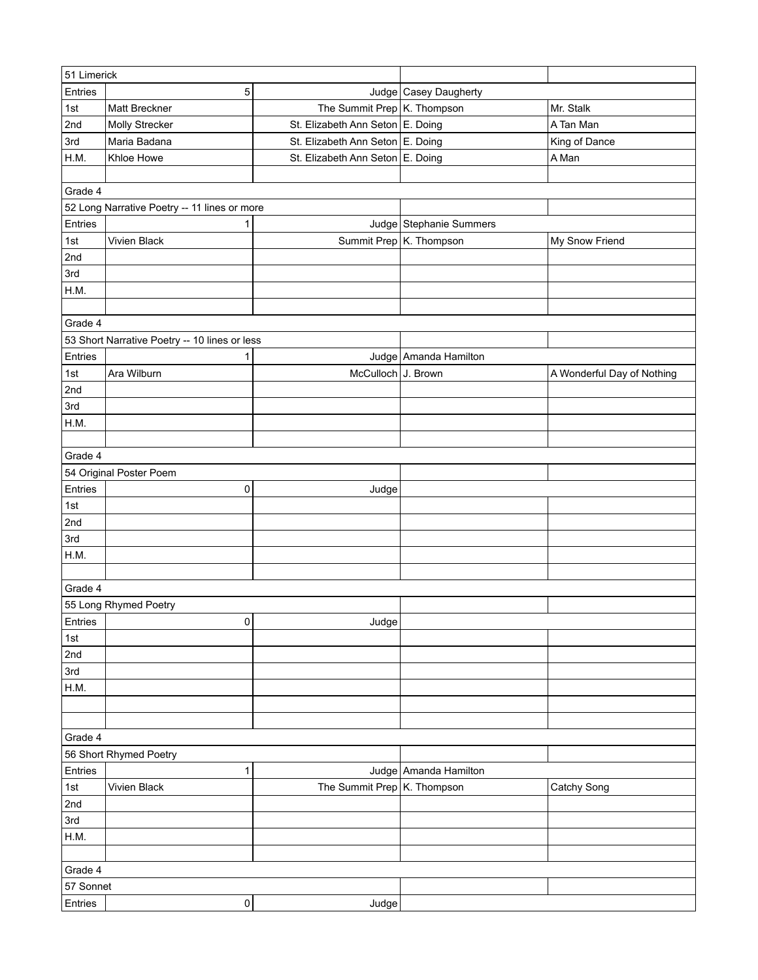| 51 Limerick                                   |                                              |                                  |                         |                            |  |
|-----------------------------------------------|----------------------------------------------|----------------------------------|-------------------------|----------------------------|--|
| Entries                                       | 5                                            |                                  | Judge   Casey Daugherty |                            |  |
| 1st                                           | Matt Breckner                                | The Summit Prep K. Thompson      |                         | Mr. Stalk                  |  |
| 2nd                                           | Molly Strecker                               | St. Elizabeth Ann Seton E. Doing |                         | A Tan Man                  |  |
| 3rd                                           | Maria Badana                                 | St. Elizabeth Ann Seton E. Doing |                         | King of Dance              |  |
| H.M.                                          | Khloe Howe                                   | St. Elizabeth Ann Seton E. Doing |                         | A Man                      |  |
|                                               |                                              |                                  |                         |                            |  |
| Grade 4                                       |                                              |                                  |                         |                            |  |
|                                               | 52 Long Narrative Poetry -- 11 lines or more |                                  |                         |                            |  |
| Entries                                       | 1                                            |                                  | Judge Stephanie Summers |                            |  |
| 1st                                           | Vivien Black                                 |                                  | Summit Prep K. Thompson | My Snow Friend             |  |
| 2nd                                           |                                              |                                  |                         |                            |  |
| 3rd                                           |                                              |                                  |                         |                            |  |
| H.M.                                          |                                              |                                  |                         |                            |  |
|                                               |                                              |                                  |                         |                            |  |
| Grade 4                                       |                                              |                                  |                         |                            |  |
| 53 Short Narrative Poetry -- 10 lines or less |                                              |                                  |                         |                            |  |
| Entries                                       | 1                                            |                                  | Judge Amanda Hamilton   |                            |  |
| 1st                                           | Ara Wilburn                                  | McCulloch J. Brown               |                         | A Wonderful Day of Nothing |  |
| 2nd                                           |                                              |                                  |                         |                            |  |
| 3rd                                           |                                              |                                  |                         |                            |  |
| H.M.                                          |                                              |                                  |                         |                            |  |
|                                               |                                              |                                  |                         |                            |  |
| Grade 4                                       |                                              |                                  |                         |                            |  |
|                                               | 54 Original Poster Poem                      |                                  |                         |                            |  |
| Entries                                       | 0                                            | Judge                            |                         |                            |  |
| 1st                                           |                                              |                                  |                         |                            |  |
| 2nd                                           |                                              |                                  |                         |                            |  |
| 3rd                                           |                                              |                                  |                         |                            |  |
| H.M.                                          |                                              |                                  |                         |                            |  |
|                                               |                                              |                                  |                         |                            |  |
| Grade 4                                       |                                              |                                  |                         |                            |  |
|                                               | 55 Long Rhymed Poetry                        |                                  |                         |                            |  |
| Entries                                       | 0                                            | Judge                            |                         |                            |  |
| 1st                                           |                                              |                                  |                         |                            |  |
| 2nd                                           |                                              |                                  |                         |                            |  |
| 3rd                                           |                                              |                                  |                         |                            |  |
| H.M.                                          |                                              |                                  |                         |                            |  |
|                                               |                                              |                                  |                         |                            |  |
|                                               |                                              |                                  |                         |                            |  |
| Grade 4                                       |                                              |                                  |                         |                            |  |
|                                               | 56 Short Rhymed Poetry                       |                                  |                         |                            |  |
| Entries                                       | 1                                            |                                  | Judge Amanda Hamilton   |                            |  |
| 1st                                           | Vivien Black                                 | The Summit Prep K. Thompson      |                         | Catchy Song                |  |
| 2nd                                           |                                              |                                  |                         |                            |  |
| 3rd                                           |                                              |                                  |                         |                            |  |
| H.M.                                          |                                              |                                  |                         |                            |  |
|                                               |                                              |                                  |                         |                            |  |
| Grade 4                                       |                                              |                                  |                         |                            |  |
| 57 Sonnet                                     |                                              |                                  |                         |                            |  |
| Entries                                       | 0                                            | Judge                            |                         |                            |  |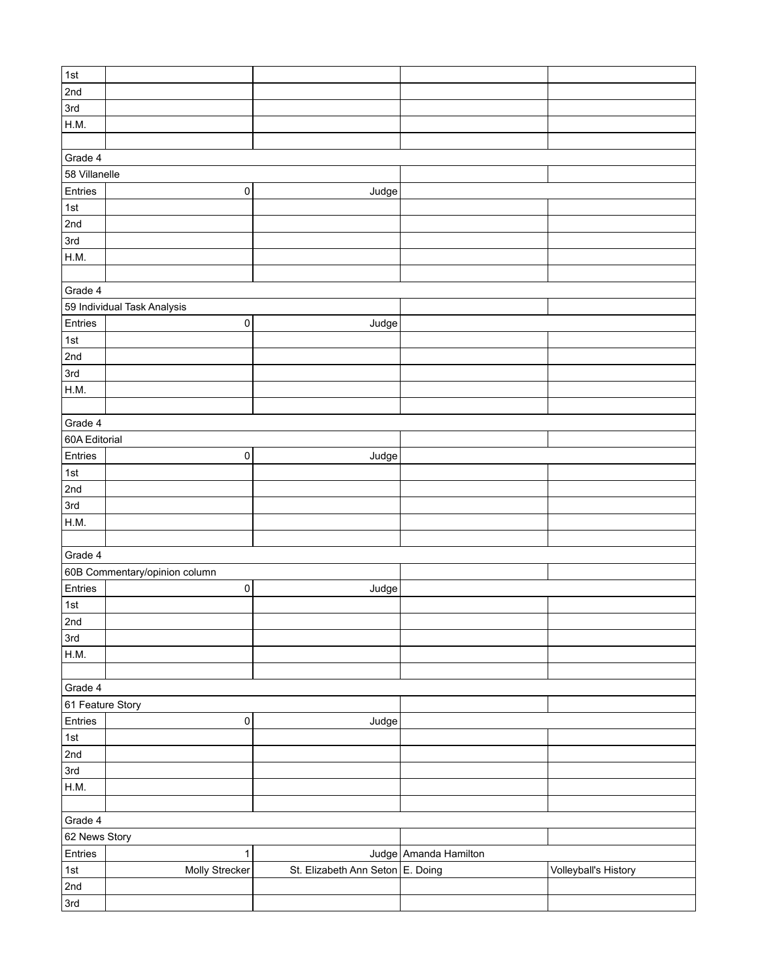| 1st              |                               |                                  |                       |                      |
|------------------|-------------------------------|----------------------------------|-----------------------|----------------------|
| 2nd              |                               |                                  |                       |                      |
| 3rd              |                               |                                  |                       |                      |
| H.M.             |                               |                                  |                       |                      |
|                  |                               |                                  |                       |                      |
| Grade 4          |                               |                                  |                       |                      |
| 58 Villanelle    |                               |                                  |                       |                      |
| Entries          | 0                             | Judge                            |                       |                      |
| $1st$            |                               |                                  |                       |                      |
| 2nd              |                               |                                  |                       |                      |
| 3rd              |                               |                                  |                       |                      |
| H.M.             |                               |                                  |                       |                      |
|                  |                               |                                  |                       |                      |
| Grade 4          |                               |                                  |                       |                      |
|                  | 59 Individual Task Analysis   |                                  |                       |                      |
| Entries          | 0                             | Judge                            |                       |                      |
| $1st$            |                               |                                  |                       |                      |
| 2nd              |                               |                                  |                       |                      |
| 3rd              |                               |                                  |                       |                      |
| H.M.             |                               |                                  |                       |                      |
|                  |                               |                                  |                       |                      |
| Grade 4          |                               |                                  |                       |                      |
| 60A Editorial    |                               |                                  |                       |                      |
| Entries          | $\mathsf 0$                   | Judge                            |                       |                      |
| $1st$            |                               |                                  |                       |                      |
| 2nd              |                               |                                  |                       |                      |
| 3rd              |                               |                                  |                       |                      |
| H.M.             |                               |                                  |                       |                      |
|                  |                               |                                  |                       |                      |
| Grade 4          |                               |                                  |                       |                      |
|                  | 60B Commentary/opinion column |                                  |                       |                      |
| Entries          | $\pmb{0}$                     | Judge                            |                       |                      |
| 1st              |                               |                                  |                       |                      |
| 2nd              |                               |                                  |                       |                      |
| 3rd              |                               |                                  |                       |                      |
| H.M.             |                               |                                  |                       |                      |
|                  |                               |                                  |                       |                      |
| Grade 4          |                               |                                  |                       |                      |
| 61 Feature Story |                               |                                  |                       |                      |
| Entries          | 0                             | Judge                            |                       |                      |
| 1st              |                               |                                  |                       |                      |
| 2nd              |                               |                                  |                       |                      |
| 3rd              |                               |                                  |                       |                      |
|                  |                               |                                  |                       |                      |
| H.M.             |                               |                                  |                       |                      |
|                  |                               |                                  |                       |                      |
| Grade 4          |                               |                                  |                       |                      |
| 62 News Story    |                               |                                  |                       |                      |
| Entries          | 1                             |                                  | Judge Amanda Hamilton |                      |
| 1st              | Molly Strecker                | St. Elizabeth Ann Seton E. Doing |                       | Volleyball's History |
| 2nd              |                               |                                  |                       |                      |
| 3rd              |                               |                                  |                       |                      |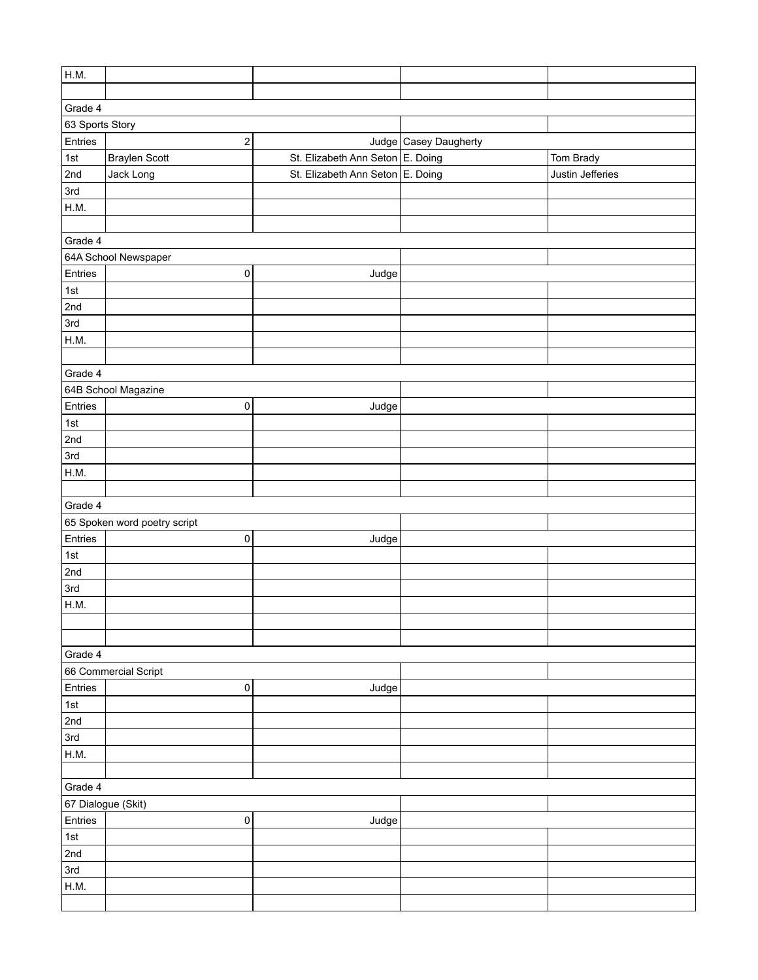| H.M.            |                              |                                  |                       |                  |  |
|-----------------|------------------------------|----------------------------------|-----------------------|------------------|--|
|                 |                              |                                  |                       |                  |  |
| Grade 4         |                              |                                  |                       |                  |  |
| 63 Sports Story |                              |                                  |                       |                  |  |
| Entries         | 2                            |                                  | Judge Casey Daugherty |                  |  |
| 1st             | <b>Braylen Scott</b>         | St. Elizabeth Ann Seton E. Doing |                       | Tom Brady        |  |
| 2nd             | Jack Long                    | St. Elizabeth Ann Seton E. Doing |                       | Justin Jefferies |  |
| 3rd             |                              |                                  |                       |                  |  |
| H.M.            |                              |                                  |                       |                  |  |
|                 |                              |                                  |                       |                  |  |
| Grade 4         |                              |                                  |                       |                  |  |
|                 | 64A School Newspaper         |                                  |                       |                  |  |
| Entries         | 0                            | Judge                            |                       |                  |  |
| 1st             |                              |                                  |                       |                  |  |
| 2nd             |                              |                                  |                       |                  |  |
| 3rd             |                              |                                  |                       |                  |  |
| H.M.            |                              |                                  |                       |                  |  |
|                 |                              |                                  |                       |                  |  |
| Grade 4         |                              |                                  |                       |                  |  |
|                 | 64B School Magazine          |                                  |                       |                  |  |
| Entries         | $\pmb{0}$                    | Judge                            |                       |                  |  |
| 1st             |                              |                                  |                       |                  |  |
| 2nd             |                              |                                  |                       |                  |  |
| 3rd             |                              |                                  |                       |                  |  |
| H.M.            |                              |                                  |                       |                  |  |
|                 |                              |                                  |                       |                  |  |
| Grade 4         |                              |                                  |                       |                  |  |
|                 | 65 Spoken word poetry script |                                  |                       |                  |  |
| Entries         | 0                            | Judge                            |                       |                  |  |
| 1st             |                              |                                  |                       |                  |  |
| 2nd             |                              |                                  |                       |                  |  |
| 3rd             |                              |                                  |                       |                  |  |
| H.M.            |                              |                                  |                       |                  |  |
|                 |                              |                                  |                       |                  |  |
|                 |                              |                                  |                       |                  |  |
| Grade 4         |                              |                                  |                       |                  |  |
|                 | 66 Commercial Script         |                                  |                       |                  |  |
| Entries         | $\pmb{0}$                    | Judge                            |                       |                  |  |
| 1st             |                              |                                  |                       |                  |  |
| 2nd             |                              |                                  |                       |                  |  |
| 3rd             |                              |                                  |                       |                  |  |
| H.M.            |                              |                                  |                       |                  |  |
|                 |                              |                                  |                       |                  |  |
| Grade 4         |                              |                                  |                       |                  |  |
|                 | 67 Dialogue (Skit)           |                                  |                       |                  |  |
| Entries         | $\pmb{0}$                    | Judge                            |                       |                  |  |
| 1st             |                              |                                  |                       |                  |  |
| 2nd             |                              |                                  |                       |                  |  |
| 3rd             |                              |                                  |                       |                  |  |
| H.M.            |                              |                                  |                       |                  |  |
|                 |                              |                                  |                       |                  |  |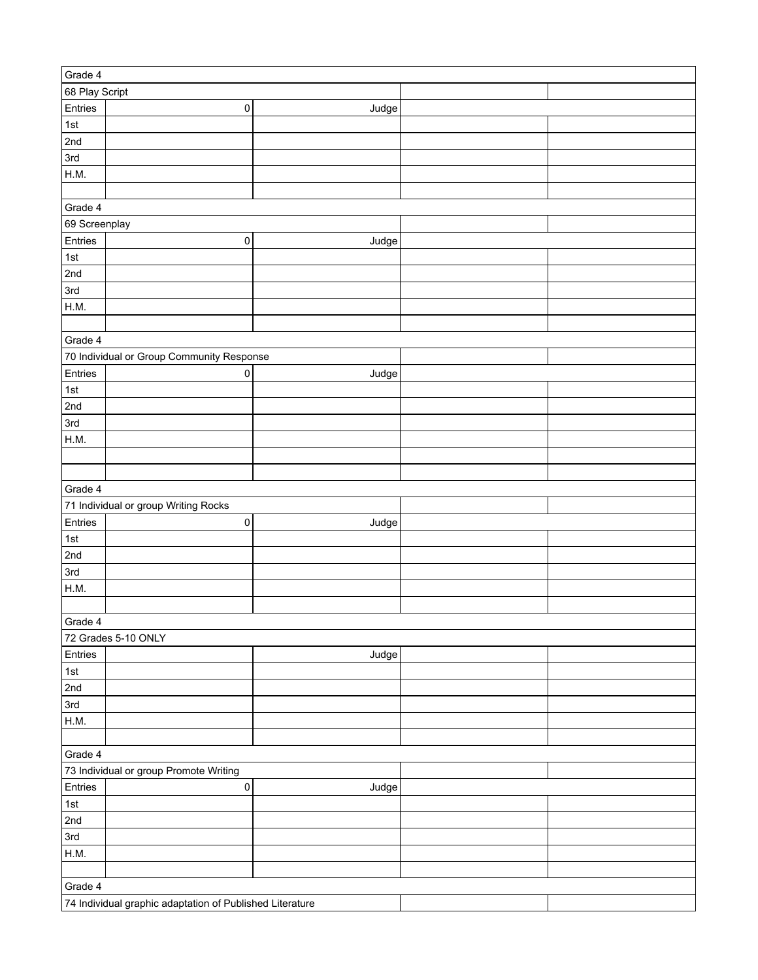| Grade 4                                                  |                                           |       |  |  |  |  |
|----------------------------------------------------------|-------------------------------------------|-------|--|--|--|--|
| 68 Play Script                                           |                                           |       |  |  |  |  |
| Entries                                                  | $\pmb{0}$                                 | Judge |  |  |  |  |
| 1st                                                      |                                           |       |  |  |  |  |
| 2nd                                                      |                                           |       |  |  |  |  |
| 3rd                                                      |                                           |       |  |  |  |  |
| H.M.                                                     |                                           |       |  |  |  |  |
|                                                          |                                           |       |  |  |  |  |
| Grade 4                                                  |                                           |       |  |  |  |  |
| 69 Screenplay                                            |                                           |       |  |  |  |  |
| Entries                                                  | $\pmb{0}$                                 | Judge |  |  |  |  |
| 1st                                                      |                                           |       |  |  |  |  |
|                                                          |                                           |       |  |  |  |  |
| 2nd                                                      |                                           |       |  |  |  |  |
| 3rd                                                      |                                           |       |  |  |  |  |
| H.M.                                                     |                                           |       |  |  |  |  |
|                                                          |                                           |       |  |  |  |  |
| Grade 4                                                  |                                           |       |  |  |  |  |
|                                                          | 70 Individual or Group Community Response |       |  |  |  |  |
| Entries                                                  | $\pmb{0}$                                 | Judge |  |  |  |  |
| 1st                                                      |                                           |       |  |  |  |  |
| 2nd                                                      |                                           |       |  |  |  |  |
| 3rd                                                      |                                           |       |  |  |  |  |
| H.M.                                                     |                                           |       |  |  |  |  |
|                                                          |                                           |       |  |  |  |  |
|                                                          |                                           |       |  |  |  |  |
| Grade 4                                                  |                                           |       |  |  |  |  |
|                                                          | 71 Individual or group Writing Rocks      |       |  |  |  |  |
| Entries                                                  | $\pmb{0}$                                 | Judge |  |  |  |  |
| 1st                                                      |                                           |       |  |  |  |  |
| 2nd                                                      |                                           |       |  |  |  |  |
| 3rd                                                      |                                           |       |  |  |  |  |
| H.M.                                                     |                                           |       |  |  |  |  |
|                                                          |                                           |       |  |  |  |  |
| Grade 4                                                  |                                           |       |  |  |  |  |
|                                                          | 72 Grades 5-10 ONLY                       |       |  |  |  |  |
| Entries                                                  |                                           | Judge |  |  |  |  |
| 1st                                                      |                                           |       |  |  |  |  |
| 2nd                                                      |                                           |       |  |  |  |  |
| 3rd                                                      |                                           |       |  |  |  |  |
| H.M.                                                     |                                           |       |  |  |  |  |
|                                                          |                                           |       |  |  |  |  |
|                                                          |                                           |       |  |  |  |  |
| Grade 4                                                  |                                           |       |  |  |  |  |
|                                                          | 73 Individual or group Promote Writing    |       |  |  |  |  |
| Entries                                                  | $\pmb{0}$                                 | Judge |  |  |  |  |
| 1st                                                      |                                           |       |  |  |  |  |
| 2nd                                                      |                                           |       |  |  |  |  |
| 3rd                                                      |                                           |       |  |  |  |  |
| H.M.                                                     |                                           |       |  |  |  |  |
|                                                          |                                           |       |  |  |  |  |
| Grade 4                                                  |                                           |       |  |  |  |  |
| 74 Individual graphic adaptation of Published Literature |                                           |       |  |  |  |  |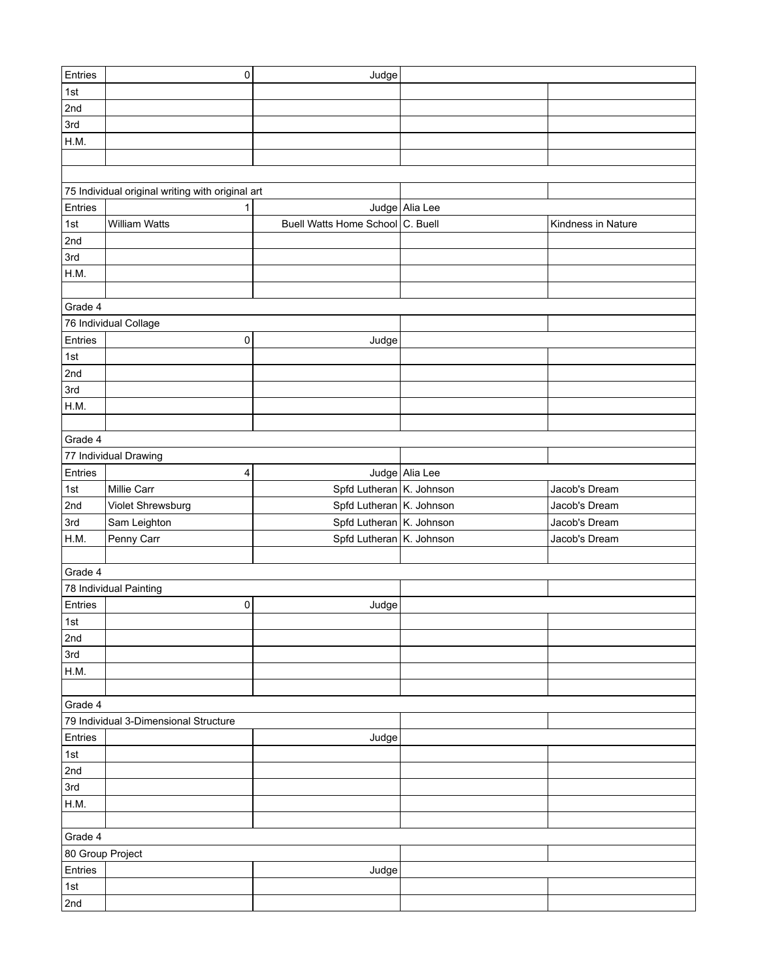| Entries          | $\pmb{0}$                                        | Judge                            |                |                    |  |  |  |
|------------------|--------------------------------------------------|----------------------------------|----------------|--------------------|--|--|--|
| 1st              |                                                  |                                  |                |                    |  |  |  |
| 2nd              |                                                  |                                  |                |                    |  |  |  |
| 3rd              |                                                  |                                  |                |                    |  |  |  |
| H.M.             |                                                  |                                  |                |                    |  |  |  |
|                  |                                                  |                                  |                |                    |  |  |  |
|                  |                                                  |                                  |                |                    |  |  |  |
|                  | 75 Individual original writing with original art |                                  |                |                    |  |  |  |
| Entries          | 1                                                |                                  | Judge Alia Lee |                    |  |  |  |
| 1st              | William Watts                                    | Buell Watts Home School C. Buell |                | Kindness in Nature |  |  |  |
| 2nd              |                                                  |                                  |                |                    |  |  |  |
| 3rd              |                                                  |                                  |                |                    |  |  |  |
| H.M.             |                                                  |                                  |                |                    |  |  |  |
|                  |                                                  |                                  |                |                    |  |  |  |
| Grade 4          |                                                  |                                  |                |                    |  |  |  |
|                  | 76 Individual Collage                            |                                  |                |                    |  |  |  |
| Entries          | 0                                                | Judge                            |                |                    |  |  |  |
| $1st$            |                                                  |                                  |                |                    |  |  |  |
|                  |                                                  |                                  |                |                    |  |  |  |
| 2nd<br>3rd       |                                                  |                                  |                |                    |  |  |  |
|                  |                                                  |                                  |                |                    |  |  |  |
| H.M.             |                                                  |                                  |                |                    |  |  |  |
|                  |                                                  |                                  |                |                    |  |  |  |
| Grade 4          |                                                  |                                  |                |                    |  |  |  |
|                  | 77 Individual Drawing                            |                                  |                |                    |  |  |  |
| Entries          | 4                                                |                                  | Judge Alia Lee |                    |  |  |  |
| 1st              | Millie Carr                                      | Spfd Lutheran K. Johnson         |                | Jacob's Dream      |  |  |  |
| 2nd              | Violet Shrewsburg                                | Spfd Lutheran   K. Johnson       |                | Jacob's Dream      |  |  |  |
| 3rd              | Sam Leighton                                     | Spfd Lutheran K. Johnson         |                | Jacob's Dream      |  |  |  |
| H.M.             | Penny Carr                                       | Spfd Lutheran K. Johnson         |                | Jacob's Dream      |  |  |  |
|                  |                                                  |                                  |                |                    |  |  |  |
| Grade 4          |                                                  |                                  |                |                    |  |  |  |
|                  | 78 Individual Painting                           |                                  |                |                    |  |  |  |
| Entries          | $\pmb{0}$                                        | Judge                            |                |                    |  |  |  |
| ∣1st             |                                                  |                                  |                |                    |  |  |  |
| 2nd              |                                                  |                                  |                |                    |  |  |  |
| 3rd              |                                                  |                                  |                |                    |  |  |  |
| H.M.             |                                                  |                                  |                |                    |  |  |  |
|                  |                                                  |                                  |                |                    |  |  |  |
| Grade 4          |                                                  |                                  |                |                    |  |  |  |
|                  | 79 Individual 3-Dimensional Structure            |                                  |                |                    |  |  |  |
| Entries          |                                                  | Judge                            |                |                    |  |  |  |
| $1st$            |                                                  |                                  |                |                    |  |  |  |
| 2nd              |                                                  |                                  |                |                    |  |  |  |
| 3rd              |                                                  |                                  |                |                    |  |  |  |
| H.M.             |                                                  |                                  |                |                    |  |  |  |
|                  |                                                  |                                  |                |                    |  |  |  |
| Grade 4          |                                                  |                                  |                |                    |  |  |  |
| 80 Group Project |                                                  |                                  |                |                    |  |  |  |
| Entries          |                                                  | Judge                            |                |                    |  |  |  |
| 1st              |                                                  |                                  |                |                    |  |  |  |
| 2nd              |                                                  |                                  |                |                    |  |  |  |
|                  |                                                  |                                  |                |                    |  |  |  |